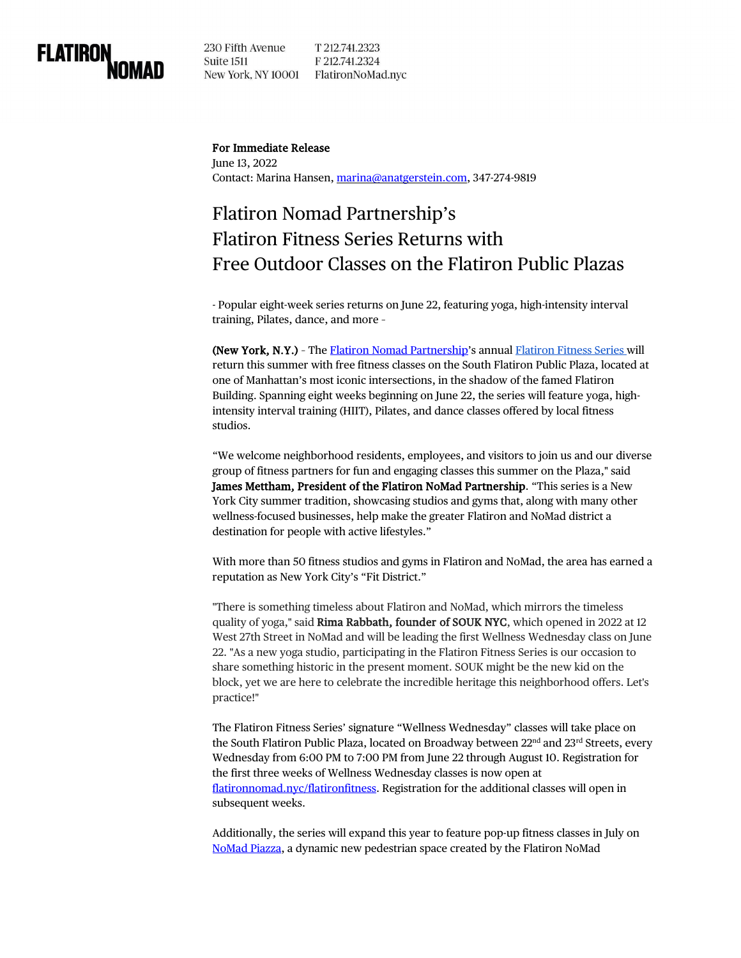

230 Fifth Avenue T 212.741.2323 Suite 1511 F 212.741.2324 New York, NY 10001 FlatironNoMad.nyc

#### For Immediate Release

June 13, 2022 Contact: Marina Hansen, [marina@anatgerstein.com,](mailto:marina@anatgerstein.com) 347-274-9819

# Flatiron Nomad Partnership's Flatiron Fitness Series Returns with Free Outdoor Classes on the Flatiron Public Plazas

- Popular eight-week series returns on June 22, featuring yoga, high-intensity interval training, Pilates, dance, and more –

(New York, N.Y.) – The [Flatiron Nomad Partnership'](https://flatironnomad.nyc/)s annual [Flatiron Fitness Series w](https://flatironnomad.nyc/flatironfitness/)ill return this summer with free fitness classes on the South Flatiron Public Plaza, located at one of Manhattan's most iconic intersections, in the shadow of the famed Flatiron Building. Spanning eight weeks beginning on June 22, the series will feature yoga, highintensity interval training (HIIT), Pilates, and dance classes offered by local fitness studios.

"We welcome neighborhood residents, employees, and visitors to join us and our diverse group of fitness partners for fun and engaging classes this summer on the Plaza," said James Mettham, President of the Flatiron NoMad Partnership. "This series is a New York City summer tradition, showcasing studios and gyms that, along with many other wellness-focused businesses, help make the greater Flatiron and NoMad district a destination for people with active lifestyles."

With more than 50 fitness studios and gyms in Flatiron and NoMad, the area has earned a reputation as New York City's "Fit District."

"There is something timeless about Flatiron and NoMad, which mirrors the timeless quality of yoga," said **Rima Rabbath, founder of SOUK NYC**, which opened in 2022 at 12 West 27th Street in NoMad and will be leading the first Wellness Wednesday class on June 22. "As a new yoga studio, participating in the Flatiron Fitness Series is our occasion to share something historic in the present moment. SOUK might be the new kid on the block, yet we are here to celebrate the incredible heritage this neighborhood offers. Let's practice!"

The Flatiron Fitness Series' signature "Wellness Wednesday" classes will take place on the South Flatiron Public Plaza, located on Broadway between 22<sup>nd</sup> and 23<sup>rd</sup> Streets, every Wednesday from 6:00 PM to 7:00 PM from June 22 through August 10. Registration for the first three weeks of Wellness Wednesday classes is now open at [flatironnomad.nyc/flatironfitness.](https://flatironnomad.nyc/flatironfitness/) Registration for the additional classes will open in subsequent weeks.

Additionally, the series will expand this year to feature pop-up fitness classes in July on [NoMad Piazza,](https://flatironnomad.nyc/2022/03/31/nomad-piazza-pop-up-returns-to-the-broadway-roadbed-april-1/) a dynamic new pedestrian space created by the Flatiron NoMad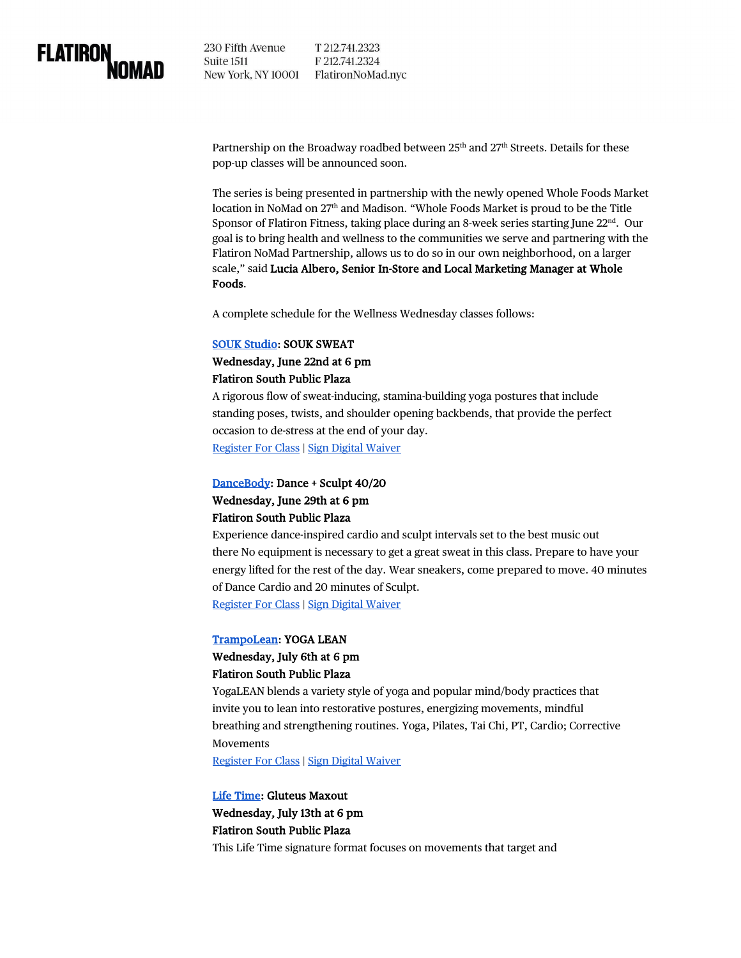

230 Fifth Avenue T 212.741.2323 Suite 1511 F 212.741.2324 New York, NY 10001 FlatironNoMad.nyc

Partnership on the Broadway roadbed between 25<sup>th</sup> and 27<sup>th</sup> Streets. Details for these pop-up classes will be announced soon.

The series is being presented in partnership with the newly opened Whole Foods Market location in NoMad on 27<sup>th</sup> and Madison. "Whole Foods Market is proud to be the Title Sponsor of Flatiron Fitness, taking place during an 8-week series starting June  $22<sup>nd</sup>$ . Our goal is to bring health and wellness to the communities we serve and partnering with the Flatiron NoMad Partnership, allows us to do so in our own neighborhood, on a larger scale," said Lucia Albero, Senior In-Store and Local Marketing Manager at Whole Foods.

A complete schedule for the Wellness Wednesday classes follows:

#### [SOUK Studio:](https://soukstudio.com/) SOUK SWEAT

## Wednesday, June 22nd at 6 pm Flatiron South Public Plaza

A rigorous flow of sweat-inducing, stamina-building yoga postures that include standing poses, twists, and shoulder opening backbends, that provide the perfect occasion to de-stress at the end of your day. [Register For Class](https://www.eventbrite.com/e/flatiron-fitness-souk-sweat-with-souk-studio-tickets-354677348497) [| Sign Digital Waiver](https://flatironbid.na1.documents.adobe.com/public/esignWidget?wid=CBFCIBAA3AAABLblqZhBnN2E_beqZc90BqoA_stkgVktI_V6pveQ2xCeyl1Q7JVcvmTVnKXcNgvfhvtxhYks*)

# [DanceBody:](http://www.dancebody.com/) Dance + Sculpt 40/20 Wednesday, June 29th at 6 pm Flatiron South Public Plaza

Experience dance-inspired cardio and sculpt intervals set to the best music out there No equipment is necessary to get a great sweat in this class. Prepare to have your energy lifted for the rest of the day. Wear sneakers, come prepared to move. 40 minutes of Dance Cardio and 20 minutes of Sculpt. Register [For Class](https://www.eventbrite.com/e/flatiron-fitness-dance-sculpt-4020-with-dancebody-tickets-354659515157) [| Sign Digital Waiver](https://flatironbid.na1.documents.adobe.com/public/esignWidget?wid=CBFCIBAA3AAABLblqZhBrvnISNHG4sCQfWeQYe0umq0A25g1RrG9vHkIQ8k8Y7frH9U2QXvvYN5MhuCeAhJ8*)

# [TrampoLean:](https://trampolean.nyc/) YOGA LEAN Wednesday, July 6th at 6 pm

# Flatiron South Public Plaza

YogaLEAN blends a variety style of yoga and popular mind/body practices that invite you to lean into restorative postures, energizing movements, mindful breathing and strengthening routines. Yoga, Pilates, Tai Chi, PT, Cardio; Corrective Movements

[Register For Class](https://www.eventbrite.com/e/flatiron-fitness-yoga-lean-with-trampolean-tickets-354688572067) [| Sign Digital Waiver](https://flatironbid.na1.documents.adobe.com/public/esignWidget?wid=CBFCIBAA3AAABLblqZhAqs2UT_TQNHvkGO_Vt4nwFrlWD8PlHjHSQvh_24AUSYQ_4gEJQ5YAQR60KmWTT6qw*)

#### [Life Time:](https://www.lifetime.life/) Gluteus Maxout

# Wednesday, July 13th at 6 pm Flatiron South Public Plaza

This Life Time signature format focuses on movements that target and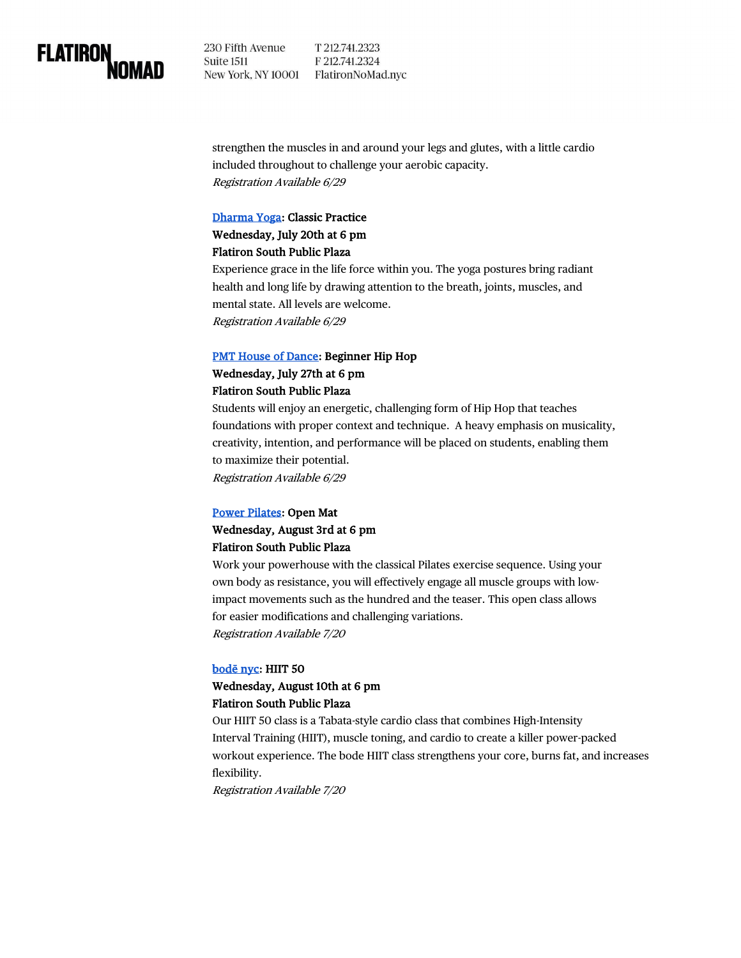

230 Fifth Avenue T 212.741.2323 F 212.741.2324 Suite 1511 New York, NY 10001 FlatironNoMad.nyc

strengthen the muscles in and around your legs and glutes, with a little cardio included throughout to challenge your aerobic capacity. Registration Available 6/29

#### [Dharma Yoga:](https://www.dharmayogacenter.com/) Classic Practice

## Wednesday, July 20th at 6 pm Flatiron South Public Plaza

Experience grace in the life force within you. The yoga postures bring radiant health and long life by drawing attention to the breath, joints, muscles, and mental state. All levels are welcome. Registration Available 6/29

#### [PMT House of Dance:](https://www.pmthouseofdance.com/) Beginner Hip Hop

# Wednesday, July 27th at 6 pm Flatiron South Public Plaza

Students will enjoy an energetic, challenging form of Hip Hop that teaches foundations with proper context and technique. A heavy emphasis on musicality, creativity, intention, and performance will be placed on students, enabling them to maximize their potential. Registration Available 6/29

#### [Power Pilates:](https://powerpilates.com/) Open Mat

# Wednesday, August 3rd at 6 pm Flatiron South Public Plaza

Work your powerhouse with the classical Pilates exercise sequence. Using your own body as resistance, you will effectively engage all muscle groups with lowimpact movements such as the hundred and the teaser. This open class allows for easier modifications and challenging variations. Registration Available 7/20

#### [bodē nyc:](https://www.bodenyc.com/) HIIT 50

# Wednesday, August 10th at 6 pm Flatiron South Public Plaza

Our HIIT 50 class is a Tabata-style cardio class that combines High-Intensity Interval Training (HIIT), muscle toning, and cardio to create a killer power-packed workout experience. The bode HIIT class strengthens your core, burns fat, and increases flexibility.

Registration Available 7/20